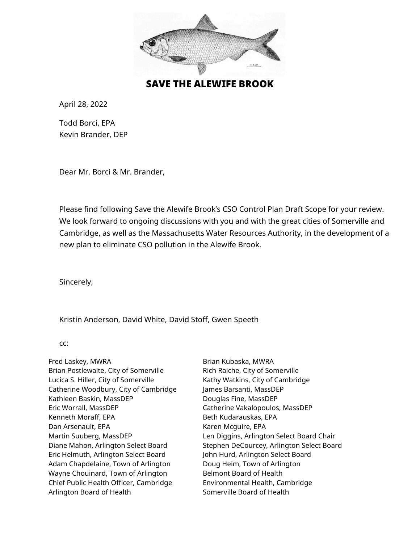

SAVE THE ALEWIFE BROOK

April 28, 2022

Todd Borci, EPA Kevin Brander, DEP

Dear Mr. Borci & Mr. Brander,

Please find following Save the Alewife Brook's CSO Control Plan Draft Scope for your review. We look forward to ongoing discussions with you and with the great cities of Somerville and Cambridge, as well as the Massachusetts Water Resources Authority, in the development of a new plan to eliminate CSO pollution in the Alewife Brook.

Sincerely,

Kristin Anderson, David White, David Stoff, Gwen Speeth

cc:

Fred Laskey, MWRA Brian Kubaska, MWRA Brian Postlewaite, City of Somerville Rich Raiche, City of Somerville Lucica S. Hiller, City of Somerville Kathy Watkins, City of Cambridge Catherine Woodbury, City of Cambridge James Barsanti, MassDEP Kathleen Baskin, MassDEP Douglas Fine, MassDEP Eric Worrall, MassDEP Catherine Vakalopoulos, MassDEP Kenneth Moraff, EPA Beth Kudarauskas, EPA Dan Arsenault, EPA Karen Mcguire, EPA Eric Helmuth, Arlington Select Board John Hurd, Arlington Select Board Adam Chapdelaine, Town of Arlington Doug Heim, Town of Arlington Wayne Chouinard, Town of Arlington Belmont Board of Health Chief Public Health Officer, Cambridge Environmental Health, Cambridge Arlington Board of Health Somerville Board of Health

Martin Suuberg, MassDEP Len Diggins, Arlington Select Board Chair Diane Mahon, Arlington Select Board Stephen DeCourcey, Arlington Select Board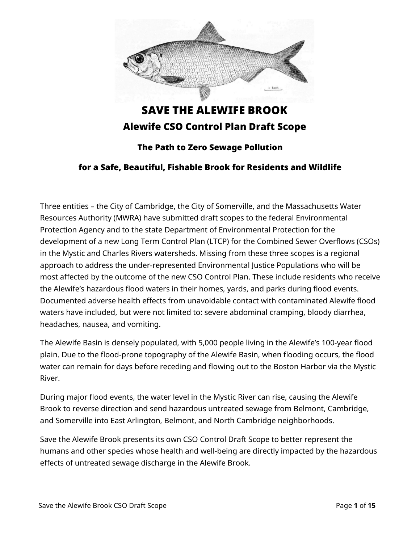

# SAVE THE ALEWIFE BROOK Alewife CSO Control Plan Draft Scope

## The Path to Zero Sewage Pollution

#### for a Safe, Beautiful, Fishable Brook for Residents and Wildlife

Three entities – the City of Cambridge, the City of Somerville, and the Massachusetts Water Resources Authority (MWRA) have submitted draft scopes to the federal Environmental Protection Agency and to the state Department of Environmental Protection for the development of a new Long Term Control Plan (LTCP) for the Combined Sewer Overflows (CSOs) in the Mystic and Charles Rivers watersheds. Missing from these three scopes is a regional approach to address the under-represented Environmental Justice Populations who will be most affected by the outcome of the new CSO Control Plan. These include residents who receive the Alewife's hazardous flood waters in their homes, yards, and parks during flood events. Documented adverse health effects from unavoidable contact with contaminated Alewife flood waters have included, but were not limited to: severe abdominal cramping, bloody diarrhea, headaches, nausea, and vomiting.

The Alewife Basin is densely populated, with 5,000 people living in the Alewife's 100-year flood plain. Due to the flood-prone topography of the Alewife Basin, when flooding occurs, the flood water can remain for days before receding and flowing out to the Boston Harbor via the Mystic River.

During major flood events, the water level in the Mystic River can rise, causing the Alewife Brook to reverse direction and send hazardous untreated sewage from Belmont, Cambridge, and Somerville into East Arlington, Belmont, and North Cambridge neighborhoods.

Save the Alewife Brook presents its own CSO Control Draft Scope to better represent the humans and other species whose health and well-being are directly impacted by the hazardous effects of untreated sewage discharge in the Alewife Brook.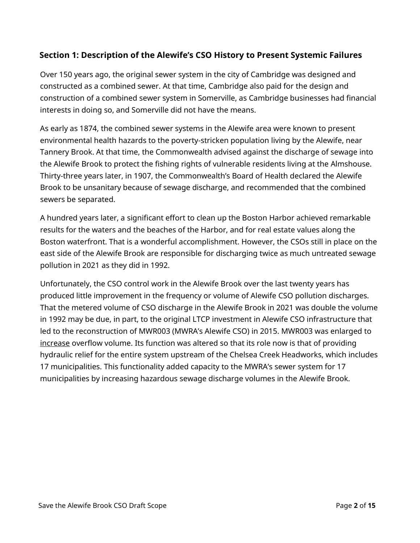## **Section 1: Description of the Alewife's CSO History to Present Systemic Failures**

Over 150 years ago, the original sewer system in the city of Cambridge was designed and constructed as a combined sewer. At that time, Cambridge also paid for the design and construction of a combined sewer system in Somerville, as Cambridge businesses had financial interests in doing so, and Somerville did not have the means.

As early as 1874, the combined sewer systems in the Alewife area were known to present environmental health hazards to the poverty-stricken population living by the Alewife, near Tannery Brook. At that time, the Commonwealth advised against the discharge of sewage into the Alewife Brook to protect the fishing rights of vulnerable residents living at the Almshouse. Thirty-three years later, in 1907, the Commonwealth's Board of Health declared the Alewife Brook to be unsanitary because of sewage discharge, and recommended that the combined sewers be separated.

A hundred years later, a significant effort to clean up the Boston Harbor achieved remarkable results for the waters and the beaches of the Harbor, and for real estate values along the Boston waterfront. That is a wonderful accomplishment. However, the CSOs still in place on the east side of the Alewife Brook are responsible for discharging twice as much untreated sewage pollution in 2021 as they did in 1992.

Unfortunately, the CSO control work in the Alewife Brook over the last twenty years has produced little improvement in the frequency or volume of Alewife CSO pollution discharges. That the metered volume of CSO discharge in the Alewife Brook in 2021 was double the volume in 1992 may be due, in part, to the original LTCP investment in Alewife CSO infrastructure that led to the reconstruction of MWR003 (MWRA's Alewife CSO) in 2015. MWR003 was enlarged to increase overflow volume. Its function was altered so that its role now is that of providing hydraulic relief for the entire system upstream of the Chelsea Creek Headworks, which includes 17 municipalities. This functionality added capacity to the MWRA's sewer system for 17 municipalities by increasing hazardous sewage discharge volumes in the Alewife Brook.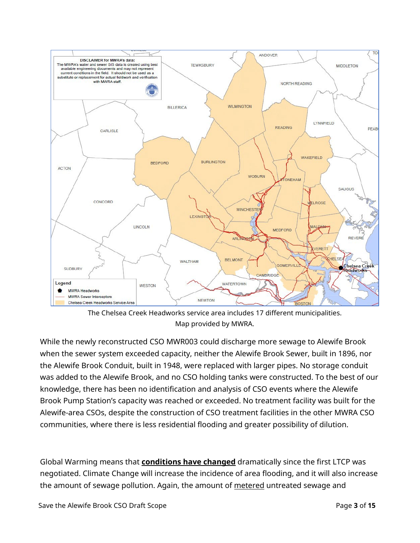

The Chelsea Creek Headworks service area includes 17 different municipalities. Map provided by MWRA.

While the newly reconstructed CSO MWR003 could discharge more sewage to Alewife Brook when the sewer system exceeded capacity, neither the Alewife Brook Sewer, built in 1896, nor the Alewife Brook Conduit, built in 1948, were replaced with larger pipes. No storage conduit was added to the Alewife Brook, and no CSO holding tanks were constructed. To the best of our knowledge, there has been no identification and analysis of CSO events where the Alewife Brook Pump Station's capacity was reached or exceeded. No treatment facility was built for the Alewife-area CSOs, despite the construction of CSO treatment facilities in the other MWRA CSO communities, where there is less residential flooding and greater possibility of dilution.

Global Warming means that **conditions have changed** dramatically since the first LTCP was negotiated. Climate Change will increase the incidence of area flooding, and it will also increase the amount of sewage pollution. Again, the amount of metered untreated sewage and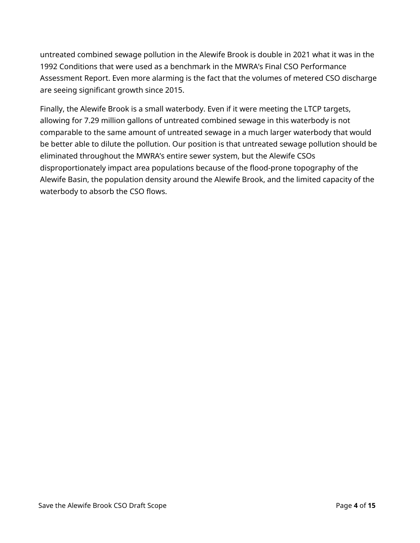untreated combined sewage pollution in the Alewife Brook is double in 2021 what it was in the 1992 Conditions that were used as a benchmark in the MWRA's Final CSO Performance Assessment Report. Even more alarming is the fact that the volumes of metered CSO discharge are seeing significant growth since 2015.

Finally, the Alewife Brook is a small waterbody. Even if it were meeting the LTCP targets, allowing for 7.29 million gallons of untreated combined sewage in this waterbody is not comparable to the same amount of untreated sewage in a much larger waterbody that would be better able to dilute the pollution. Our position is that untreated sewage pollution should be eliminated throughout the MWRA's entire sewer system, but the Alewife CSOs disproportionately impact area populations because of the flood-prone topography of the Alewife Basin, the population density around the Alewife Brook, and the limited capacity of the waterbody to absorb the CSO flows.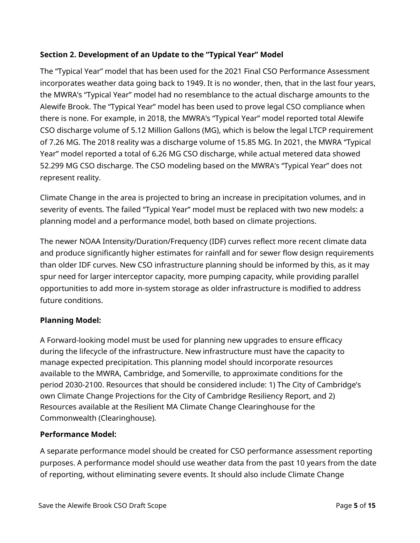## **Section 2. Development of an Update to the "Typical Year" Model**

The "Typical Year" model that has been used for the 2021 Final CSO Performance Assessment incorporates weather data going back to 1949. It is no wonder, then, that in the last four years, the MWRA's "Typical Year" model had no resemblance to the actual discharge amounts to the Alewife Brook. The "Typical Year" model has been used to prove legal CSO compliance when there is none. For example, in 2018, the MWRA's "Typical Year" model reported total Alewife CSO discharge volume of 5.12 Million Gallons (MG), which is below the legal LTCP requirement of 7.26 MG. The 2018 reality was a discharge volume of 15.85 MG. In 2021, the MWRA "Typical Year" model reported a total of 6.26 MG CSO discharge, while actual metered data showed 52.299 MG CSO discharge. The CSO modeling based on the MWRA's "Typical Year" does not represent reality.

Climate Change in the area is projected to bring an increase in precipitation volumes, and in severity of events. The failed "Typical Year" model must be replaced with two new models: a planning model and a performance model, both based on climate projections.

The newer NOAA Intensity/Duration/Frequency (IDF) curves reflect more recent climate data and produce significantly higher estimates for rainfall and for sewer flow design requirements than older IDF curves. New CSO infrastructure planning should be informed by this, as it may spur need for larger interceptor capacity, more pumping capacity, while providing parallel opportunities to add more in-system storage as older infrastructure is modified to address future conditions.

## **Planning Model:**

A Forward-looking model must be used for planning new upgrades to ensure efficacy during the lifecycle of the infrastructure. New infrastructure must have the capacity to manage expected precipitation. This planning model should incorporate resources available to the MWRA, Cambridge, and Somerville, to approximate conditions for the period 2030-2100. Resources that should be considered include: 1) The City of Cambridge's own Climate Change Projections for the City of Cambridge Resiliency Report, and 2) Resources available at the Resilient MA Climate Change Clearinghouse for the Commonwealth (Clearinghouse).

## **Performance Model:**

A separate performance model should be created for CSO performance assessment reporting purposes. A performance model should use weather data from the past 10 years from the date of reporting, without eliminating severe events. It should also include Climate Change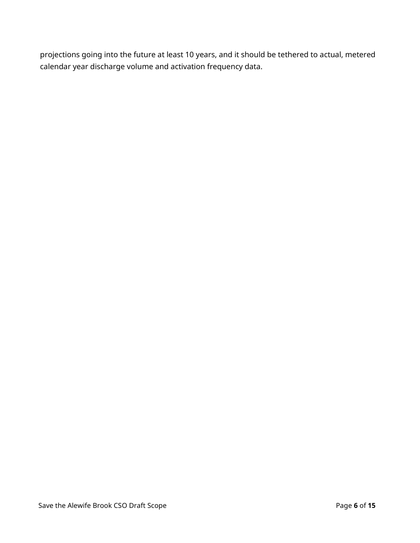projections going into the future at least 10 years, and it should be tethered to actual, metered calendar year discharge volume and activation frequency data.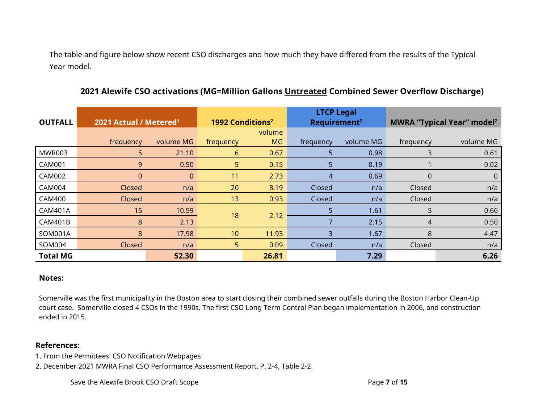The table and figure below show recent CSO discharges and how much they have differed from the results of the Typical Year model.

| <b>OUTFALL</b>  | 2021 Actual / Metered <sup>1</sup> |              | 1992 Conditions <sup>2</sup> |           | <b>LTCP Legal</b><br>Requirement <sup>2</sup> |           | <b>MWRA "Typical Year" model<sup>2</sup></b> |           |
|-----------------|------------------------------------|--------------|------------------------------|-----------|-----------------------------------------------|-----------|----------------------------------------------|-----------|
|                 |                                    |              |                              | volume    |                                               |           |                                              |           |
|                 | frequency                          | volume MG    | frequency                    | <b>MG</b> | frequency                                     | volume MG | frequency                                    | volume MG |
| MWR003          | 5                                  | 21.10        | 6                            | 0.67      | 5                                             | 0.98      | 3                                            | 0.61      |
| <b>CAM001</b>   | 9                                  | 0.50         | 5                            | 0.15      | 5                                             | 0.19      |                                              | 0.02      |
| <b>CAM002</b>   | $\Omega$                           | $\mathbf{0}$ | 11                           | 2.73      | 4                                             | 0.69      | 0                                            | 0         |
| <b>CAM004</b>   | Closed                             | n/a          | 20                           | 8.19      | Closed                                        | n/a       | Closed                                       | n/a       |
| <b>CAM400</b>   | Closed                             | n/a          | 13                           | 0.93      | Closed                                        | n/a       | Closed                                       | n/a       |
| <b>CAM401A</b>  | 15                                 | 10.59        | 18                           | 2.12      | 5                                             | 1.61      | 5                                            | 0.66      |
| <b>CAM401B</b>  | 8                                  | 2.13         |                              |           |                                               | 2.15      | 4                                            | 0.50      |
| SOM001A         | 8                                  | 17.98        | 10                           | 11.93     | 3                                             | 1.67      | 8                                            | 4.47      |
| SOM004          | Closed                             | n/a          | 5 <sup>1</sup>               | 0.09      | Closed                                        | n/a       | Closed                                       | n/a       |
| <b>Total MG</b> |                                    | 52.30        |                              | 26.81     |                                               | 7.29      |                                              | 6.26      |

## **2021 Alewife CSO activations (MG=Million Gallons Untreated Combined Sewer Overflow Discharge)**

#### **Notes:**

Somerville was the first municipality in the Boston area to start closing their combined sewer outfalls during the Boston Harbor Clean-Up court case. Somerville closed 4 CSOs in the 1990s. The first CSO Long Term Control Plan began implementation in 2006, and construction ended in 2015.

#### **References:**

- 1. From the Permittees' CSO Notification Webpages
- 2. December 2021 MWRA Final CSO Performance Assessment Report, P. 2-4, Table 2-2

Save the Alewife Brook CSO Draft Scope **Page 7** of **15** Page 7 of **15**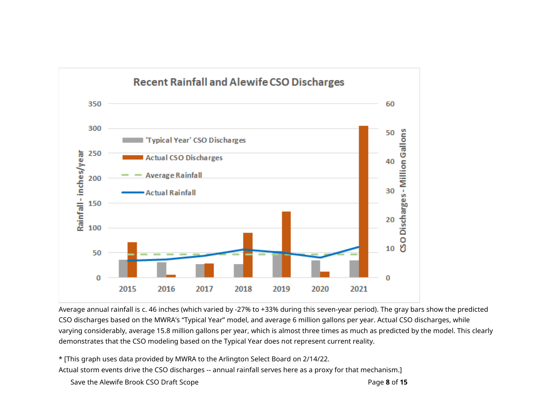

Average annual rainfall is c. 46 inches (which varied by -27% to +33% during this seven-year period). The gray bars show the predicted CSO discharges based on the MWRA's "Typical Year" model, and average 6 million gallons per year. Actual CSO discharges, while varying considerably, average 15.8 million gallons per year, which is almost three times as much as predicted by the model. This clearly demonstrates that the CSO modeling based on the Typical Year does not represent current reality.

\* [This graph uses data provided by MWRA to the Arlington Select Board on 2/14/22. Actual storm events drive the CSO discharges -- annual rainfall serves here as a proxy for that mechanism.]

```
Save the Alewife Brook CSO Draft Scope Page 8 of 15 Page 8 of 15
```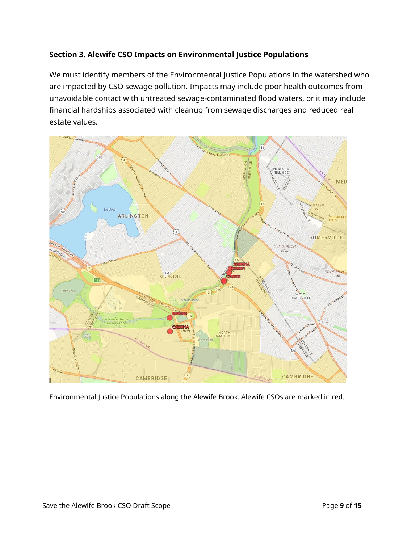## **Section 3. Alewife CSO Impacts on Environmental Justice Populations**

We must identify members of the Environmental Justice Populations in the watershed who are impacted by CSO sewage pollution. Impacts may include poor health outcomes from unavoidable contact with untreated sewage-contaminated flood waters, or it may include financial hardships associated with cleanup from sewage discharges and reduced real estate values.



Environmental Justice Populations along the Alewife Brook. Alewife CSOs are marked in red.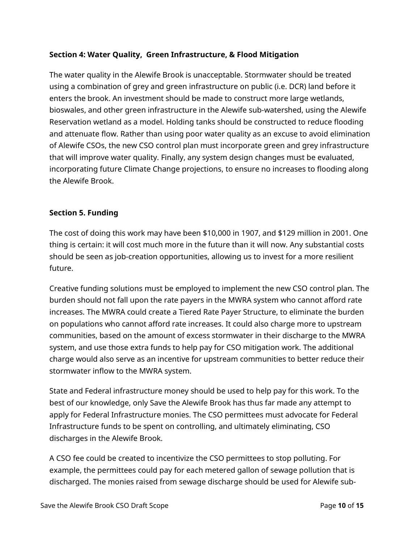## **Section 4: Water Quality, Green Infrastructure, & Flood Mitigation**

The water quality in the Alewife Brook is unacceptable. Stormwater should be treated using a combination of grey and green infrastructure on public (i.e. DCR) land before it enters the brook. An investment should be made to construct more large wetlands, bioswales, and other green infrastructure in the Alewife sub-watershed, using the Alewife Reservation wetland as a model. Holding tanks should be constructed to reduce flooding and attenuate flow. Rather than using poor water quality as an excuse to avoid elimination of Alewife CSOs, the new CSO control plan must incorporate green and grey infrastructure that will improve water quality. Finally, any system design changes must be evaluated, incorporating future Climate Change projections, to ensure no increases to flooding along the Alewife Brook.

#### **Section 5. Funding**

The cost of doing this work may have been \$10,000 in 1907, and \$129 million in 2001. One thing is certain: it will cost much more in the future than it will now. Any substantial costs should be seen as job-creation opportunities, allowing us to invest for a more resilient future.

Creative funding solutions must be employed to implement the new CSO control plan. The burden should not fall upon the rate payers in the MWRA system who cannot afford rate increases. The MWRA could create a Tiered Rate Payer Structure, to eliminate the burden on populations who cannot afford rate increases. It could also charge more to upstream communities, based on the amount of excess stormwater in their discharge to the MWRA system, and use those extra funds to help pay for CSO mitigation work. The additional charge would also serve as an incentive for upstream communities to better reduce their stormwater inflow to the MWRA system.

State and Federal infrastructure money should be used to help pay for this work. To the best of our knowledge, only Save the Alewife Brook has thus far made any attempt to apply for Federal Infrastructure monies. The CSO permittees must advocate for Federal Infrastructure funds to be spent on controlling, and ultimately eliminating, CSO discharges in the Alewife Brook.

A CSO fee could be created to incentivize the CSO permittees to stop polluting. For example, the permittees could pay for each metered gallon of sewage pollution that is discharged. The monies raised from sewage discharge should be used for Alewife sub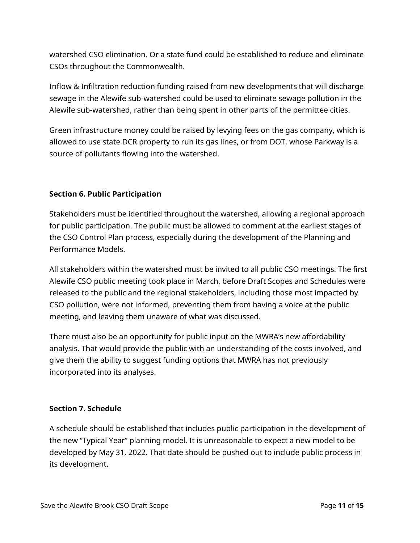watershed CSO elimination. Or a state fund could be established to reduce and eliminate CSOs throughout the Commonwealth.

Inflow & Infiltration reduction funding raised from new developments that will discharge sewage in the Alewife sub-watershed could be used to eliminate sewage pollution in the Alewife sub-watershed, rather than being spent in other parts of the permittee cities.

Green infrastructure money could be raised by levying fees on the gas company, which is allowed to use state DCR property to run its gas lines, or from DOT, whose Parkway is a source of pollutants flowing into the watershed.

#### **Section 6. Public Participation**

Stakeholders must be identified throughout the watershed, allowing a regional approach for public participation. The public must be allowed to comment at the earliest stages of the CSO Control Plan process, especially during the development of the Planning and Performance Models.

All stakeholders within the watershed must be invited to all public CSO meetings. The first Alewife CSO public meeting took place in March, before Draft Scopes and Schedules were released to the public and the regional stakeholders, including those most impacted by CSO pollution, were not informed, preventing them from having a voice at the public meeting, and leaving them unaware of what was discussed.

There must also be an opportunity for public input on the MWRA's new affordability analysis. That would provide the public with an understanding of the costs involved, and give them the ability to suggest funding options that MWRA has not previously incorporated into its analyses.

#### **Section 7. Schedule**

A schedule should be established that includes public participation in the development of the new "Typical Year" planning model. It is unreasonable to expect a new model to be developed by May 31, 2022. That date should be pushed out to include public process in its development.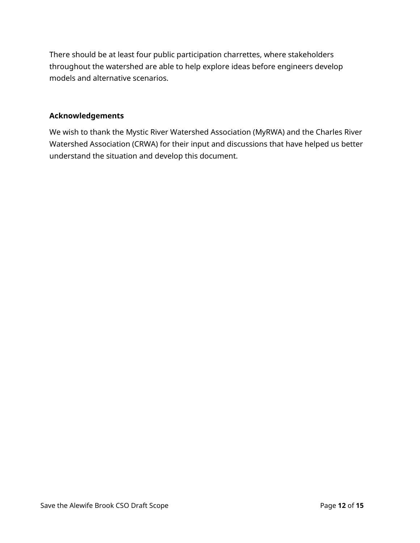There should be at least four public participation charrettes, where stakeholders throughout the watershed are able to help explore ideas before engineers develop models and alternative scenarios.

#### **Acknowledgements**

We wish to thank the Mystic River Watershed Association (MyRWA) and the Charles River Watershed Association (CRWA) for their input and discussions that have helped us better understand the situation and develop this document.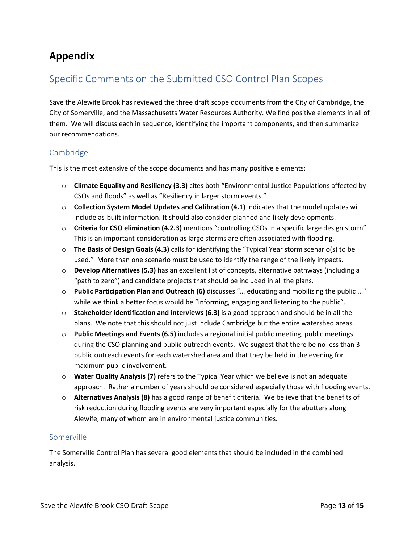## **Appendix**

## Specific Comments on the Submitted CSO Control Plan Scopes

Save the Alewife Brook has reviewed the three draft scope documents from the City of Cambridge, the City of Somerville, and the Massachusetts Water Resources Authority. We find positive elements in all of them. We will discuss each in sequence, identifying the important components, and then summarize our recommendations.

#### Cambridge

This is the most extensive of the scope documents and has many positive elements:

- o **Climate Equality and Resiliency (3.3)** cites both "Environmental Justice Populations affected by CSOs and floods" as well as "Resiliency in larger storm events."
- o **Collection System Model Updates and Calibration (4.1)** indicates that the model updates will include as-built information. It should also consider planned and likely developments.
- o **Criteria for CSO elimination (4.2.3)** mentions "controlling CSOs in a specific large design storm" This is an important consideration as large storms are often associated with flooding.
- o **The Basis of Design Goals (4.3)** calls for identifying the "Typical Year storm scenario(s) to be used." More than one scenario must be used to identify the range of the likely impacts.
- o **Develop Alternatives (5.3)** has an excellent list of concepts, alternative pathways (including a "path to zero") and candidate projects that should be included in all the plans.
- o **Public Participation Plan and Outreach (6)** discusses "… educating and mobilizing the public ..." while we think a better focus would be "informing, engaging and listening to the public".
- o **Stakeholder identification and interviews (6.3)** is a good approach and should be in all the plans. We note that this should not just include Cambridge but the entire watershed areas.
- o **Public Meetings and Events (6.5)** includes a regional initial public meeting, public meetings during the CSO planning and public outreach events. We suggest that there be no less than 3 public outreach events for each watershed area and that they be held in the evening for maximum public involvement.
- o **Water Quality Analysis (7)** refers to the Typical Year which we believe is not an adequate approach. Rather a number of years should be considered especially those with flooding events.
- o **Alternatives Analysis (8)** has a good range of benefit criteria. We believe that the benefits of risk reduction during flooding events are very important especially for the abutters along Alewife, many of whom are in environmental justice communities.

#### Somerville

The Somerville Control Plan has several good elements that should be included in the combined analysis.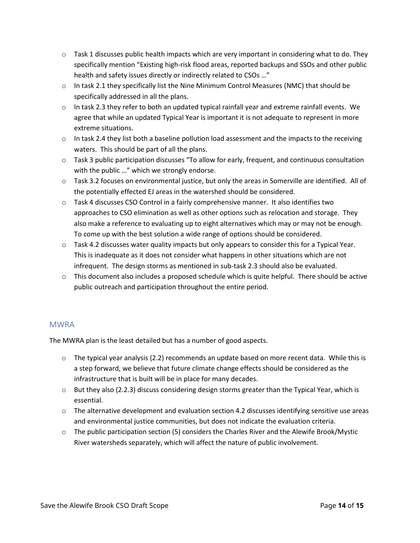- $\circ$  Task 1 discusses public health impacts which are very important in considering what to do. They specifically mention "Existing high-risk flood areas, reported backups and SSOs and other public health and safety issues directly or indirectly related to CSOs …"
- $\circ$  In task 2.1 they specifically list the Nine Minimum Control Measures (NMC) that should be specifically addressed in all the plans.
- $\circ$  In task 2.3 they refer to both an updated typical rainfall year and extreme rainfall events. We agree that while an updated Typical Year is important it is not adequate to represent in more extreme situations.
- $\circ$  In task 2.4 they list both a baseline pollution load assessment and the impacts to the receiving waters. This should be part of all the plans.
- o Task 3 public participation discusses "To allow for early, frequent, and continuous consultation with the public ..." which we strongly endorse.
- o Task 3.2 focuses on environmental justice, but only the areas in Somerville are identified. All of the potentially effected EJ areas in the watershed should be considered.
- $\circ$  Task 4 discusses CSO Control in a fairly comprehensive manner. It also identifies two approaches to CSO elimination as well as other options such as relocation and storage. They also make a reference to evaluating up to eight alternatives which may or may not be enough. To come up with the best solution a wide range of options should be considered.
- o Task 4.2 discusses water quality impacts but only appears to consider this for a Typical Year. This is inadequate as it does not consider what happens in other situations which are not infrequent. The design storms as mentioned in sub-task 2.3 should also be evaluated.
- $\circ$  This document also includes a proposed schedule which is quite helpful. There should be active public outreach and participation throughout the entire period.

#### MWRA

The MWRA plan is the least detailed but has a number of good aspects.

- $\circ$  The typical year analysis (2.2) recommends an update based on more recent data. While this is a step forward, we believe that future climate change effects should be considered as the infrastructure that is built will be in place for many decades.
- $\circ$  But they also (2.2.3) discuss considering design storms greater than the Typical Year, which is essential.
- $\circ$  The alternative development and evaluation section 4.2 discusses identifying sensitive use areas and environmental justice communities, but does not indicate the evaluation criteria.
- $\circ$  The public participation section (5) considers the Charles River and the Alewife Brook/Mystic River watersheds separately, which will affect the nature of public involvement.